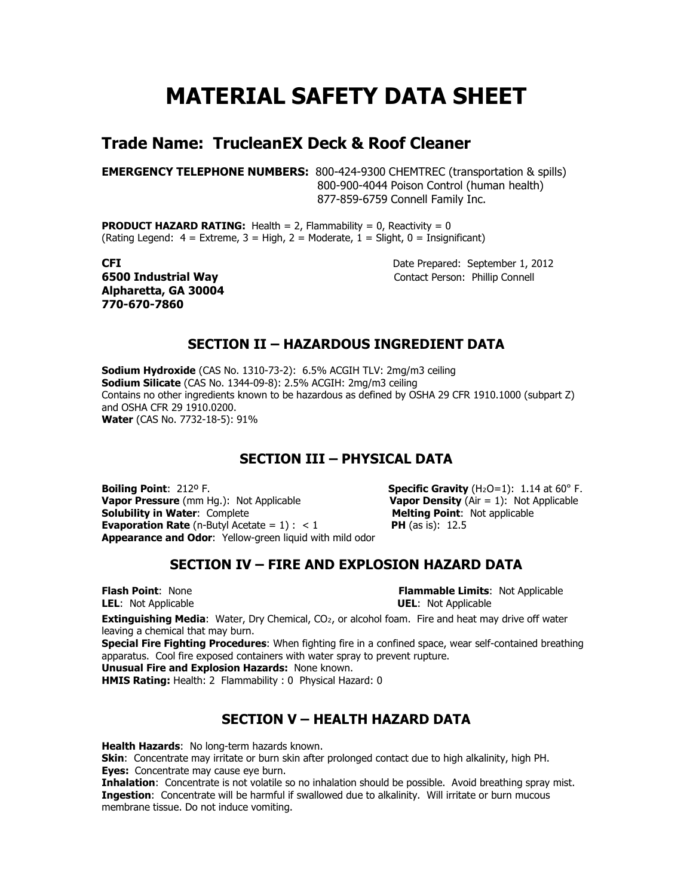# MATERIAL SAFETY DATA SHEET

## Trade Name: TrucleanEX Deck & Roof Cleaner

EMERGENCY TELEPHONE NUMBERS: 800-424-9300 CHEMTREC (transportation & spills) 800-900-4044 Poison Control (human health) 877-859-6759 Connell Family Inc.

**PRODUCT HAZARD RATING:** Health = 2, Flammability = 0, Reactivity =  $0$ (Rating Legend:  $4 =$  Extreme,  $3 =$  High,  $2 =$  Moderate,  $1 =$  Slight,  $0 =$  Insignificant)

Alpharetta, GA 30004 770-670-7860

CFI Date Prepared: September 1, 2012 **6500 Industrial Way Contact Person: Phillip Connell** 

#### SECTION II – HAZARDOUS INGREDIENT DATA

Sodium Hydroxide (CAS No. 1310-73-2): 6.5% ACGIH TLV: 2mg/m3 ceiling Sodium Silicate (CAS No. 1344-09-8): 2.5% ACGIH: 2mg/m3 ceiling Contains no other ingredients known to be hazardous as defined by OSHA 29 CFR 1910.1000 (subpart Z) and OSHA CFR 29 1910.0200. Water (CAS No. 7732-18-5): 91%

#### SECTION III – PHYSICAL DATA

**Boiling Point:**  $212^{\circ}$  F. Specific Gravity (H<sub>2</sub>O=1): 1.14 at 60° F. **Vapor Pressure** (mm Hg.): Not Applicable  $\blacksquare$  **Vapor Density** (Air = 1): Not Applicable **Solubility in Water**: Complete **Vance Contess (Value Applicable Solubility in Water:** Complete Solubility in Water: Complete **Evaporation Rate** (n-Butyl Acetate =  $1$ ) : < 1 **PH** (as is): 12.5 Appearance and Odor: Yellow-green liquid with mild odor

## SECTION IV – FIRE AND EXPLOSION HAZARD DATA

**Flash Point:** None **Figure 1.1 Contract Act Applicable Limits:** Not Applicable LEL: Not Applicable **UEL: Not Applicable** 

**Extinguishing Media:** Water, Dry Chemical,  $CO<sub>2</sub>$ , or alcohol foam. Fire and heat may drive off water leaving a chemical that may burn.

Special Fire Fighting Procedures: When fighting fire in a confined space, wear self-contained breathing apparatus. Cool fire exposed containers with water spray to prevent rupture.

Unusual Fire and Explosion Hazards: None known.

membrane tissue. Do not induce vomiting.

HMIS Rating: Health: 2 Flammability : 0 Physical Hazard: 0

## SECTION V – HEALTH HAZARD DATA

Health Hazards: No long-term hazards known. Skin: Concentrate may irritate or burn skin after prolonged contact due to high alkalinity, high PH. Eyes: Concentrate may cause eye burn. **Inhalation:** Concentrate is not volatile so no inhalation should be possible. Avoid breathing spray mist. Ingestion: Concentrate will be harmful if swallowed due to alkalinity. Will irritate or burn mucous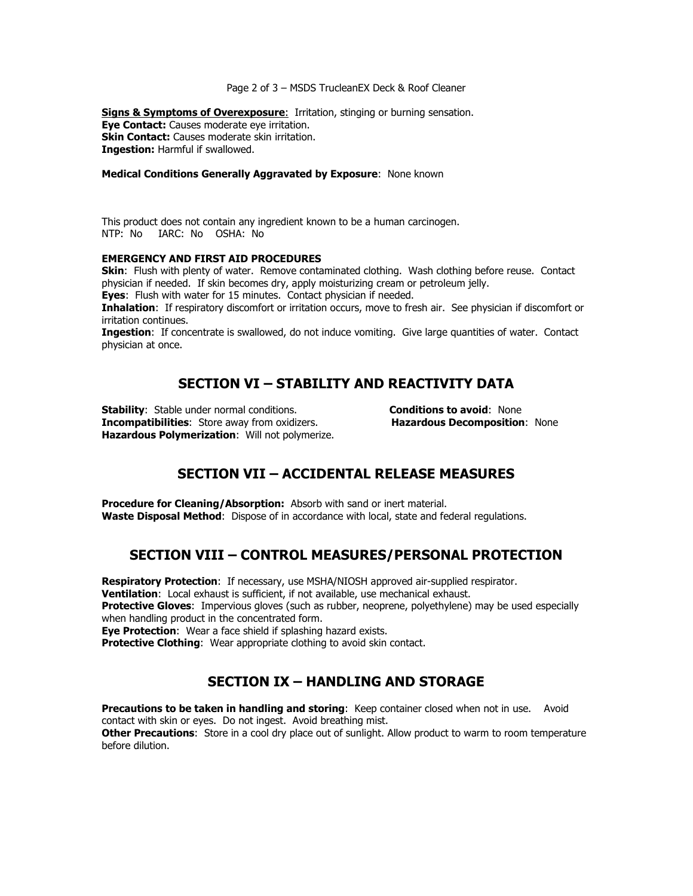#### Page 2 of 3 – MSDS TrucleanEX Deck & Roof Cleaner

Signs & Symptoms of Overexposure: Irritation, stinging or burning sensation. Eye Contact: Causes moderate eye irritation. Skin Contact: Causes moderate skin irritation. Ingestion: Harmful if swallowed.

#### Medical Conditions Generally Aggravated by Exposure: None known

This product does not contain any ingredient known to be a human carcinogen. NTP: No IARC: No OSHA: No

#### EMERGENCY AND FIRST AID PROCEDURES

**Skin:** Flush with plenty of water. Remove contaminated clothing. Wash clothing before reuse. Contact physician if needed. If skin becomes dry, apply moisturizing cream or petroleum jelly.

**Eyes:** Flush with water for 15 minutes. Contact physician if needed.

Inhalation: If respiratory discomfort or irritation occurs, move to fresh air. See physician if discomfort or irritation continues.

Ingestion: If concentrate is swallowed, do not induce vomiting. Give large quantities of water. Contact physician at once.

### SECTION VI – STABILITY AND REACTIVITY DATA

Stability: Stable under normal conditions. <br> **Stability: Stable under normal conditions.** Conditions to avoid: None in the unit of the state of the unit of t<br> **Stabilities:** Store away from oxidizers. The state of the stat Incompatibilities: Store away from oxidizers. Hazardous Polymerization: Will not polymerize.

## SECTION VII – ACCIDENTAL RELEASE MEASURES

Procedure for Cleaning/Absorption: Absorb with sand or inert material. Waste Disposal Method: Dispose of in accordance with local, state and federal regulations.

#### SECTION VIII – CONTROL MEASURES/PERSONAL PROTECTION

Respiratory Protection: If necessary, use MSHA/NIOSH approved air-supplied respirator.

Ventilation: Local exhaust is sufficient, if not available, use mechanical exhaust.

**Protective Gloves:** Impervious gloves (such as rubber, neoprene, polyethylene) may be used especially when handling product in the concentrated form.

**Eye Protection:** Wear a face shield if splashing hazard exists.

Protective Clothing: Wear appropriate clothing to avoid skin contact.

## SECTION IX – HANDLING AND STORAGE

Precautions to be taken in handling and storing: Keep container closed when not in use. Avoid contact with skin or eyes. Do not ingest. Avoid breathing mist.

Other Precautions: Store in a cool dry place out of sunlight. Allow product to warm to room temperature before dilution.